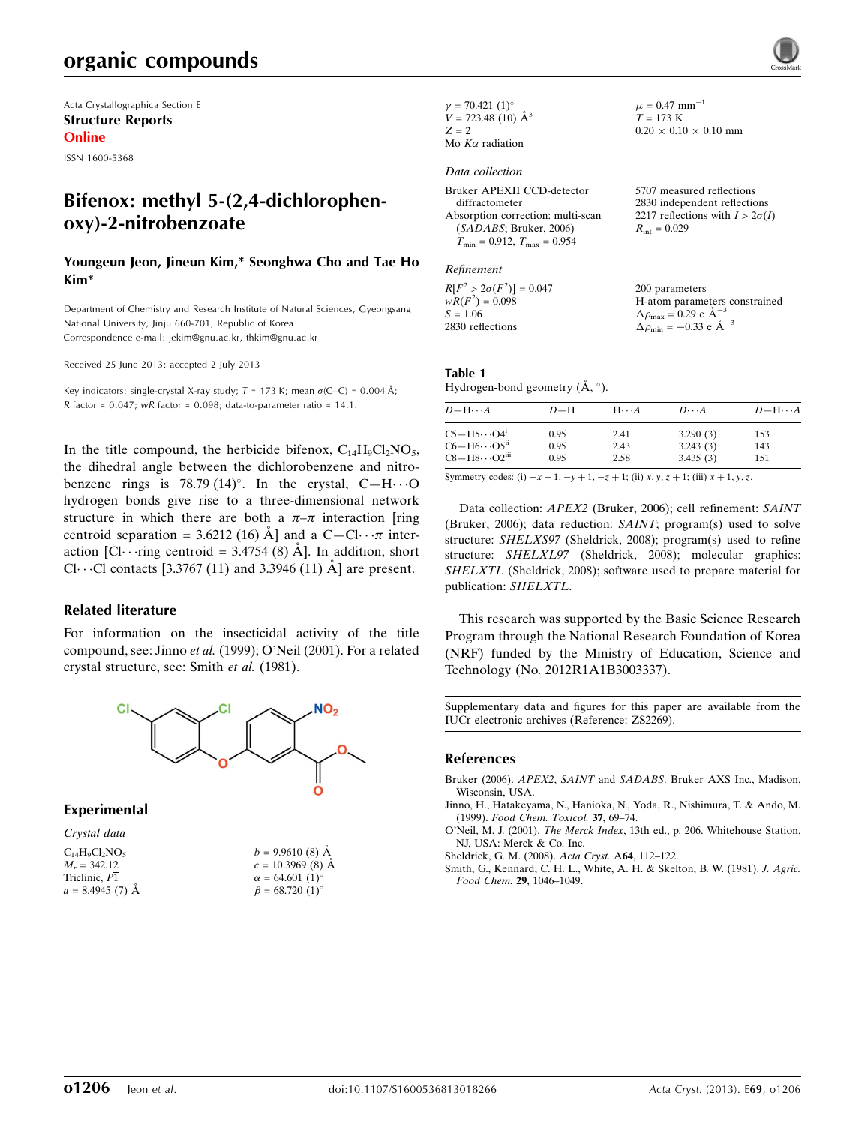# organic compounds

Acta Crystallographica Section E Structure Reports Online

ISSN 1600-5368

# Bifenox: methyl 5-(2,4-dichlorophenoxy)-2-nitrobenzoate

#### Youngeun Jeon, Jineun Kim,\* Seonghwa Cho and Tae Ho Kim\*

Department of Chemistry and Research Institute of Natural Sciences, Gyeongsang National University, Jinju 660-701, Republic of Korea Correspondence e-mail: [jekim@gnu.ac.kr, thkim@gnu.ac.kr](https://scripts.iucr.org/cgi-bin/cr.cgi?rm=pdfbb&cnor=zs2269&bbid=BB5)

Received 25 June 2013; accepted 2 July 2013

Key indicators: single-crystal X-ray study;  $T = 173$  K; mean  $\sigma$ (C–C) = 0.004 Å; R factor =  $0.047$ ; wR factor =  $0.098$ ; data-to-parameter ratio =  $14.1$ .

In the title compound, the herbicide bifenox,  $C_{14}H_9Cl_2NO_5$ , the dihedral angle between the dichlorobenzene and nitrobenzene rings is 78.79 (14)°. In the crystal,  $C-H \cdots O$ hydrogen bonds give rise to a three-dimensional network structure in which there are both a  $\pi-\pi$  interaction [ring] centroid separation = 3.6212 (16)  $\AA$  and a C-Cl·· $\pi$  interaction  $\text{[Cl}\cdots\text{ring centroid} = 3.4754 (8) Å$ . In addition, short Cl $\cdots$ Cl contacts [3.3767 (11) and 3.3946 (11) Å] are present.

#### Related literature

For information on the insecticidal activity of the title compound, see: Jinno et al. (1999); O'Neil (2001). For a related crystal structure, see: Smith et al. (1981).



#### Experimental

| Crystal data        |                              |
|---------------------|------------------------------|
| $C_{14}H_9Cl_2NO_5$ | $b = 9.9610(8)$ Å            |
| $M_r = 342.12$      | $c = 10.3969$ (8) Å          |
| Triclinic, P1       | $\alpha = 64.601(1)^{\circ}$ |
| $a = 8.4945(7)$ Å   | $\beta = 68.720(1)$ °        |

| $\gamma = 70.421(1)$ °    |
|---------------------------|
| $V = 723.48$ (10) $\AA^3$ |
| $Z = 2$                   |
| Mo $K\alpha$ radiation    |

#### Data collection

Bruker APEXII CCD-detector diffractometer Absorption correction: multi-scan (SADABS; Bruker, 2006)  $T_{\text{min}} = 0.912$ ,  $T_{\text{max}} = 0.954$ 

#### Refinement

 $R[F^2 > 2\sigma(F^2)] = 0.047$  $wR(F^2) = 0.098$  $S = 1.06$ 2830 reflections

2217 reflections with  $I > 2\sigma(I)$  $R_{\text{int}} = 0.029$ 

 $\mu = 0.47$  mm<sup>-1</sup>  $T = 173 K$ 

 $0.20 \times 0.10 \times 0.10$  mm

5707 measured reflections 2830 independent reflections

200 parameters H-atom parameters constrained  $\Delta \rho_{\text{max}} = 0.29 \text{ e A}^{-3}$  $\Delta \rho_{\rm min} = -0.33 \text{ e } \text{\AA}^{-3}$ 

| Table 1                                            |  |
|----------------------------------------------------|--|
| Hydrogen-bond geometry $(\mathring{A}, \degree)$ . |  |

| $D - H \cdots A$                  | $D-H$ | $H \cdots A$ | $D\cdots A$ | $D - H \cdots A$ |
|-----------------------------------|-------|--------------|-------------|------------------|
| $C5 - H5 \cdots O4$ <sup>i</sup>  | 0.95  | 2.41         | 3.290(3)    | 153              |
| $C6 - H6 \cdots O5$ <sup>ii</sup> | 0.95  | 2.43         | 3.243(3)    | 143              |
| $CS-H8\cdots O2^{iii}$            | 0.95  | 2.58         | 3.435(3)    | 151              |

Symmetry codes: (i)  $-x + 1$ ,  $-y + 1$ ,  $-z + 1$ ; (ii)  $x, y, z + 1$ ; (iii)  $x + 1, y, z$ .

Data collection: APEX2 (Bruker, 2006); cell refinement: SAINT (Bruker, 2006); data reduction: SAINT; program(s) used to solve structure: SHELXS97 (Sheldrick, 2008); program(s) used to refine structure: SHELXL97 (Sheldrick, 2008); molecular graphics: SHELXTL (Sheldrick, 2008); software used to prepare material for publication: SHELXTL.

This research was supported by the Basic Science Research Program through the National Research Foundation of Korea (NRF) funded by the Ministry of Education, Science and Technology (No. 2012R1A1B3003337).

Supplementary data and figures for this paper are available from the IUCr electronic archives (Reference: ZS2269).

#### References

- Bruker (2006). APEX2, SAINT and SADABS[. Bruker AXS Inc., Madison,](https://scripts.iucr.org/cgi-bin/cr.cgi?rm=pdfbb&cnor=zs2269&bbid=BB1) [Wisconsin, USA.](https://scripts.iucr.org/cgi-bin/cr.cgi?rm=pdfbb&cnor=zs2269&bbid=BB1)
- [Jinno, H., Hatakeyama, N., Hanioka, N., Yoda, R., Nishimura, T. & Ando, M.](https://scripts.iucr.org/cgi-bin/cr.cgi?rm=pdfbb&cnor=zs2269&bbid=BB2) (1999). [Food Chem. Toxicol.](https://scripts.iucr.org/cgi-bin/cr.cgi?rm=pdfbb&cnor=zs2269&bbid=BB2) 37, 69–74.
- O'Neil, M. J. (2001). The Merck Index[, 13th ed., p. 206. Whitehouse Station,](https://scripts.iucr.org/cgi-bin/cr.cgi?rm=pdfbb&cnor=zs2269&bbid=BB3) [NJ, USA: Merck & Co. Inc.](https://scripts.iucr.org/cgi-bin/cr.cgi?rm=pdfbb&cnor=zs2269&bbid=BB3)
- [Sheldrick, G. M. \(2008\).](https://scripts.iucr.org/cgi-bin/cr.cgi?rm=pdfbb&cnor=zs2269&bbid=BB4) Acta Cryst. A64, 112–122.
- [Smith, G., Kennard, C. H. L., White, A. H. & Skelton, B. W. \(1981\).](https://scripts.iucr.org/cgi-bin/cr.cgi?rm=pdfbb&cnor=zs2269&bbid=BB5) J. Agric. [Food Chem.](https://scripts.iucr.org/cgi-bin/cr.cgi?rm=pdfbb&cnor=zs2269&bbid=BB5) 29, 1046–1049.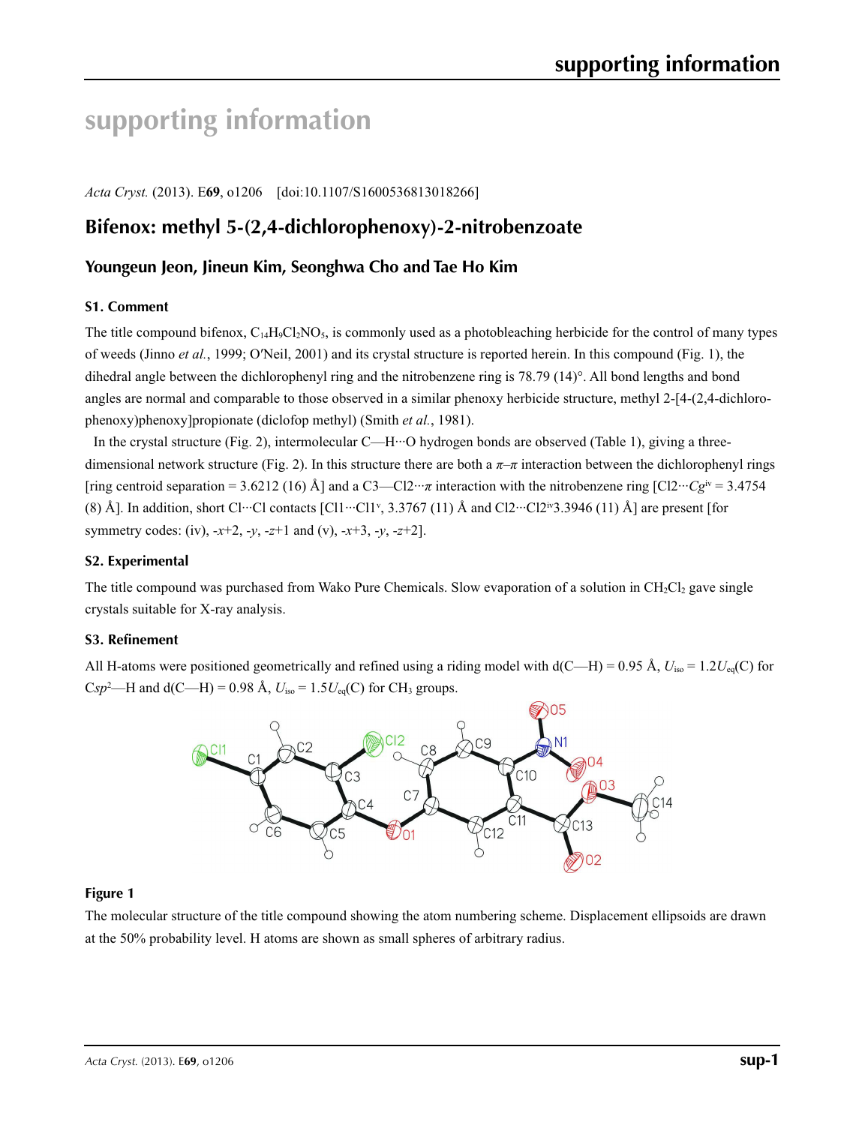# **supporting information**

*Acta Cryst.* (2013). E**69**, o1206 [doi:10.1107/S1600536813018266]

# **Bifenox: methyl 5-(2,4-dichlorophenoxy)-2-nitrobenzoate**

### **Youngeun Jeon, Jineun Kim, Seonghwa Cho and Tae Ho Kim**

### **S1. Comment**

The title compound bifenox,  $C_{14}H_9C_2NO_5$ , is commonly used as a photobleaching herbicide for the control of many types of weeds (Jinno *et al.*, 1999; O′Neil, 2001) and its crystal structure is reported herein. In this compound (Fig. 1), the dihedral angle between the dichlorophenyl ring and the nitrobenzene ring is 78.79 (14)°. All bond lengths and bond angles are normal and comparable to those observed in a similar phenoxy herbicide structure, methyl 2-[4-(2,4-dichlorophenoxy)phenoxy]propionate (diclofop methyl) (Smith *et al.*, 1981).

In the crystal structure (Fig. 2), intermolecular C—H $\cdot\cdot\cdot$ O hydrogen bonds are observed (Table 1), giving a threedimensional network structure (Fig. 2). In this structure there are both a  $\pi-\pi$  interaction between the dichlorophenyl rings [ring centroid separation = 3.6212 (16) Å] and a C3—Cl2… $\pi$  interaction with the nitrobenzene ring [Cl2… $Cg^{iv} = 3.4754$ (8) Å]. In addition, short Cl…Cl contacts [Cl1…Cl1v, 3.3767 (11) Å and Cl2…Cl2iv3.3946 (11) Å] are present [for symmetry codes: (iv), -*x*+2, -*y*, -*z*+1 and (v), -*x*+3, -*y*, -*z*+2].

#### **S2. Experimental**

The title compound was purchased from Wako Pure Chemicals. Slow evaporation of a solution in  $CH_2Cl_2$  gave single crystals suitable for X-ray analysis.

#### **S3. Refinement**

All H-atoms were positioned geometrically and refined using a riding model with  $d(C-H) = 0.95 \text{ Å}$ ,  $U_{iso} = 1.2 U_{eq}(C)$  for  $Csp^2$ —H and d(C—H) = 0.98 Å,  $U_{\text{iso}} = 1.5U_{\text{eq}}(C)$  for CH<sub>3</sub> groups.



### **Figure 1**

The molecular structure of the title compound showing the atom numbering scheme. Displacement ellipsoids are drawn at the 50% probability level. H atoms are shown as small spheres of arbitrary radius.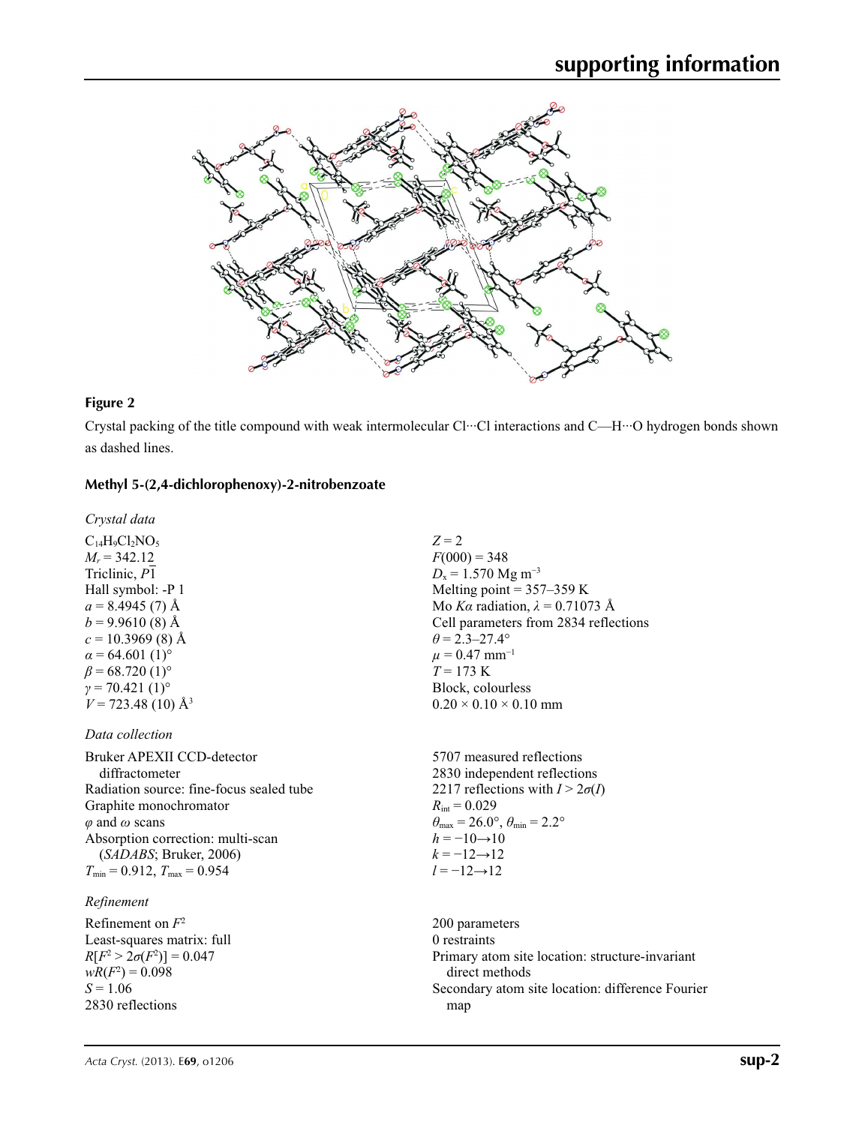

#### **Figure 2**

Crystal packing of the title compound with weak intermolecular Cl···Cl interactions and C—H···O hydrogen bonds shown as dashed lines.

### **Methyl 5-(2,4-dichlorophenoxy)-2-nitrobenzoate**

*Crystal data*

 $C_{14}H_9Cl_2NO_5$  $M_r = 342.12$ Triclinic, *P*1 Hall symbol: -P 1  $a = 8.4945(7)$  Å  $b = 9.9610(8)$  Å  $c = 10.3969$  (8) Å  $\alpha$  = 64.601 (1)<sup>o</sup>  $\beta$  = 68.720 (1)<sup>o</sup>  $\gamma$  = 70.421 (1)<sup>o</sup>  $V = 723.48$  (10)  $\AA$ <sup>3</sup>

#### *Data collection*

Bruker APEXII CCD-detector diffractometer Radiation source: fine-focus sealed tube Graphite monochromator *φ* and *ω* scans Absorption correction: multi-scan (*SADABS*; Bruker, 2006)  $T_{\text{min}} = 0.912$ ,  $T_{\text{max}} = 0.954$ 

### *Refinement*

Refinement on *F*<sup>2</sup> Least-squares matrix: full *R*[ $F^2 > 2\sigma(F^2)$ ] = 0.047  $wR(F^2) = 0.098$  $S = 1.06$ 2830 reflections

 $Z = 2$  $F(000) = 348$  $D_x = 1.570$  Mg m<sup>-3</sup> Melting point  $= 357 - 359$  K Mo *Kα* radiation,  $\lambda = 0.71073$  Å Cell parameters from 2834 reflections  $\theta$  = 2.3–27.4°  $\mu = 0.47$  mm<sup>-1</sup>  $T = 173$  K Block, colourless  $0.20 \times 0.10 \times 0.10$  mm

5707 measured reflections 2830 independent reflections 2217 reflections with  $I > 2\sigma(I)$  $R_{\text{int}} = 0.029$  $\theta_{\text{max}} = 26.0^{\circ}, \theta_{\text{min}} = 2.2^{\circ}$  $h = -10 \rightarrow 10$  $k = -12 \rightarrow 12$ *l* = −12→12

200 parameters 0 restraints Primary atom site location: structure-invariant direct methods Secondary atom site location: difference Fourier map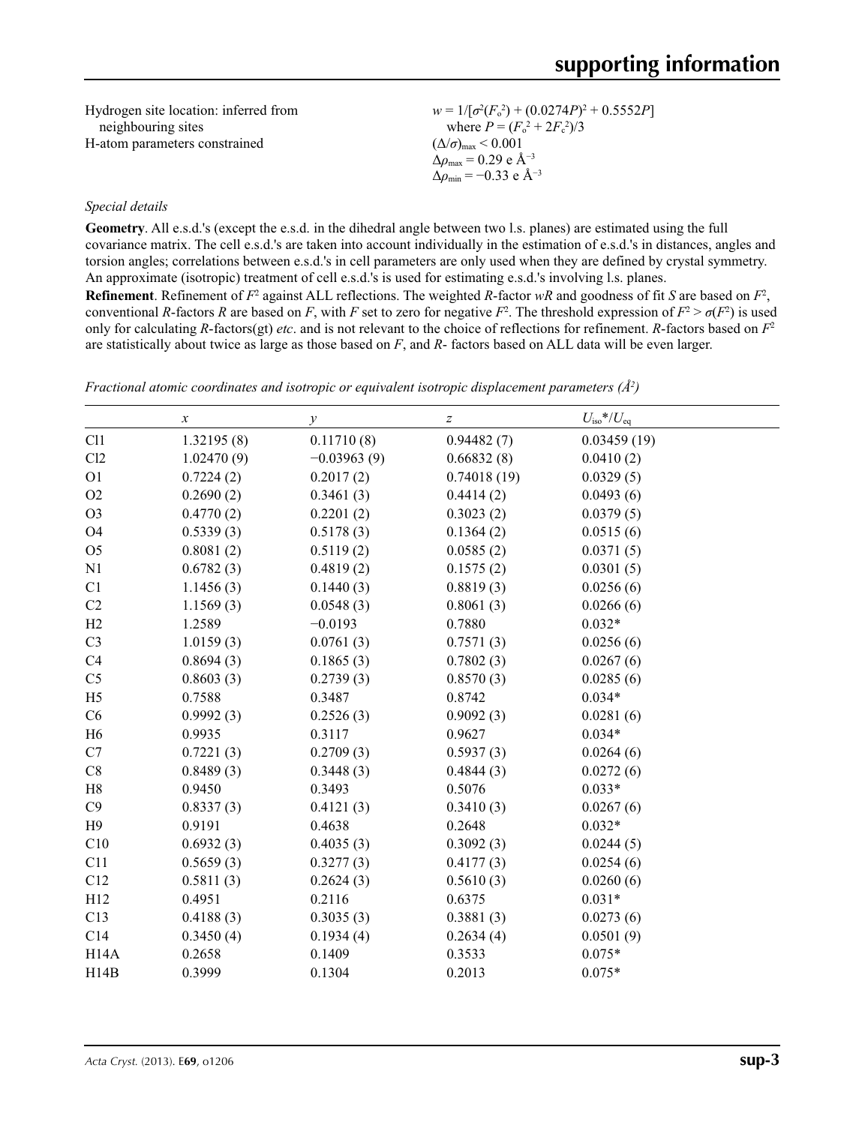| Hydrogen site location: inferred from | $w = 1/[\sigma^2(F_0^2) + (0.0274P)^2 + 0.5552P]$ |
|---------------------------------------|---------------------------------------------------|
| neighbouring sites                    | where $P = (F_o^2 + 2F_c^2)/3$                    |
| H-atom parameters constrained         | $(\Delta/\sigma)_{\text{max}}$ < 0.001            |
|                                       | $\Delta\rho_{\rm max} = 0.29 \text{ e A}^{-3}$    |
|                                       | $\Delta\rho_{\rm min} = -0.33 \text{ e A}^{-3}$   |

#### *Special details*

**Geometry**. All e.s.d.'s (except the e.s.d. in the dihedral angle between two l.s. planes) are estimated using the full covariance matrix. The cell e.s.d.'s are taken into account individually in the estimation of e.s.d.'s in distances, angles and torsion angles; correlations between e.s.d.'s in cell parameters are only used when they are defined by crystal symmetry. An approximate (isotropic) treatment of cell e.s.d.'s is used for estimating e.s.d.'s involving l.s. planes. **Refinement**. Refinement of  $F^2$  against ALL reflections. The weighted R-factor wR and goodness of fit *S* are based on  $F^2$ , conventional *R*-factors *R* are based on *F*, with *F* set to zero for negative  $F^2$ . The threshold expression of  $F^2 > \sigma(F^2)$  is used only for calculating *R*-factors(gt) *etc*. and is not relevant to the choice of reflections for refinement. *R*-factors based on *F*<sup>2</sup> are statistically about twice as large as those based on *F*, and *R*- factors based on ALL data will be even larger.

|                | $\boldsymbol{x}$ | $\mathcal{Y}$ | $\boldsymbol{Z}$ | $U_{\rm iso}*/U_{\rm eq}$ |  |
|----------------|------------------|---------------|------------------|---------------------------|--|
| C11            | 1.32195(8)       | 0.11710(8)    | 0.94482(7)       | 0.03459(19)               |  |
| Cl2            | 1.02470(9)       | $-0.03963(9)$ | 0.66832(8)       | 0.0410(2)                 |  |
| O <sub>1</sub> | 0.7224(2)        | 0.2017(2)     | 0.74018(19)      | 0.0329(5)                 |  |
| O2             | 0.2690(2)        | 0.3461(3)     | 0.4414(2)        | 0.0493(6)                 |  |
| O <sub>3</sub> | 0.4770(2)        | 0.2201(2)     | 0.3023(2)        | 0.0379(5)                 |  |
| <b>O4</b>      | 0.5339(3)        | 0.5178(3)     | 0.1364(2)        | 0.0515(6)                 |  |
| O <sub>5</sub> | 0.8081(2)        | 0.5119(2)     | 0.0585(2)        | 0.0371(5)                 |  |
| N1             | 0.6782(3)        | 0.4819(2)     | 0.1575(2)        | 0.0301(5)                 |  |
| C1             | 1.1456(3)        | 0.1440(3)     | 0.8819(3)        | 0.0256(6)                 |  |
| C2             | 1.1569(3)        | 0.0548(3)     | 0.8061(3)        | 0.0266(6)                 |  |
| H2             | 1.2589           | $-0.0193$     | 0.7880           | $0.032*$                  |  |
| C <sub>3</sub> | 1.0159(3)        | 0.0761(3)     | 0.7571(3)        | 0.0256(6)                 |  |
| C4             | 0.8694(3)        | 0.1865(3)     | 0.7802(3)        | 0.0267(6)                 |  |
| C <sub>5</sub> | 0.8603(3)        | 0.2739(3)     | 0.8570(3)        | 0.0285(6)                 |  |
| H <sub>5</sub> | 0.7588           | 0.3487        | 0.8742           | $0.034*$                  |  |
| C6             | 0.9992(3)        | 0.2526(3)     | 0.9092(3)        | 0.0281(6)                 |  |
| H <sub>6</sub> | 0.9935           | 0.3117        | 0.9627           | $0.034*$                  |  |
| C7             | 0.7221(3)        | 0.2709(3)     | 0.5937(3)        | 0.0264(6)                 |  |
| C8             | 0.8489(3)        | 0.3448(3)     | 0.4844(3)        | 0.0272(6)                 |  |
| H8             | 0.9450           | 0.3493        | 0.5076           | $0.033*$                  |  |
| C9             | 0.8337(3)        | 0.4121(3)     | 0.3410(3)        | 0.0267(6)                 |  |
| H9             | 0.9191           | 0.4638        | 0.2648           | $0.032*$                  |  |
| C10            | 0.6932(3)        | 0.4035(3)     | 0.3092(3)        | 0.0244(5)                 |  |
| C11            | 0.5659(3)        | 0.3277(3)     | 0.4177(3)        | 0.0254(6)                 |  |
| C12            | 0.5811(3)        | 0.2624(3)     | 0.5610(3)        | 0.0260(6)                 |  |
| H12            | 0.4951           | 0.2116        | 0.6375           | $0.031*$                  |  |
| C13            | 0.4188(3)        | 0.3035(3)     | 0.3881(3)        | 0.0273(6)                 |  |
| C14            | 0.3450(4)        | 0.1934(4)     | 0.2634(4)        | 0.0501(9)                 |  |
| H14A           | 0.2658           | 0.1409        | 0.3533           | $0.075*$                  |  |
| H14B           | 0.3999           | 0.1304        | 0.2013           | $0.075*$                  |  |

*Fractional atomic coordinates and isotropic or equivalent isotropic displacement parameters (Å<sup>2</sup>)*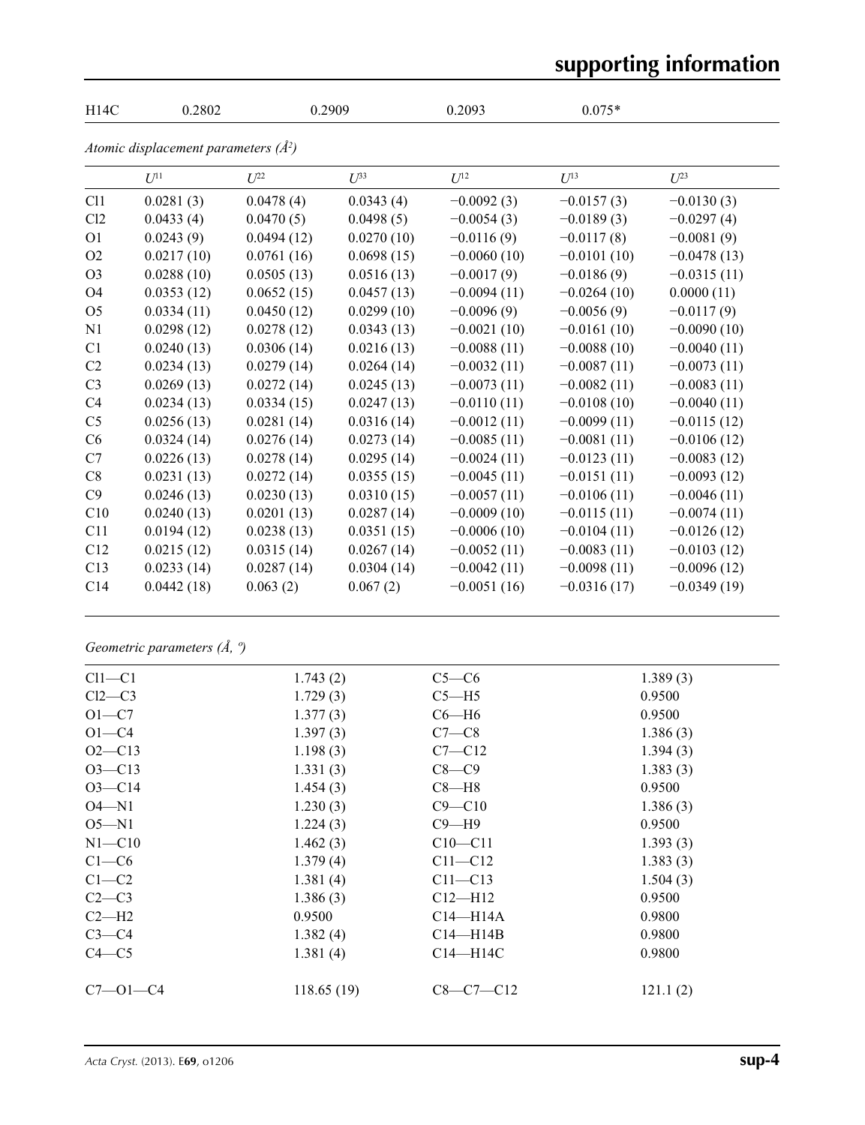# **supporting information**

| H14C           | 0.2802                                   |            | 0.2909     | 0.2093        | $0.075*$      |               |  |
|----------------|------------------------------------------|------------|------------|---------------|---------------|---------------|--|
|                | Atomic displacement parameters $(\AA^2)$ |            |            |               |               |               |  |
|                | $U^{11}$                                 | $U^{22}$   | $U^{33}$   | $U^{12}$      | $U^{13}$      | $U^{23}$      |  |
| C11            | 0.0281(3)                                | 0.0478(4)  | 0.0343(4)  | $-0.0092(3)$  | $-0.0157(3)$  | $-0.0130(3)$  |  |
| C12            | 0.0433(4)                                | 0.0470(5)  | 0.0498(5)  | $-0.0054(3)$  | $-0.0189(3)$  | $-0.0297(4)$  |  |
| O <sub>1</sub> | 0.0243(9)                                | 0.0494(12) | 0.0270(10) | $-0.0116(9)$  | $-0.0117(8)$  | $-0.0081(9)$  |  |
| O <sub>2</sub> | 0.0217(10)                               | 0.0761(16) | 0.0698(15) | $-0.0060(10)$ | $-0.0101(10)$ | $-0.0478(13)$ |  |
| O <sub>3</sub> | 0.0288(10)                               | 0.0505(13) | 0.0516(13) | $-0.0017(9)$  | $-0.0186(9)$  | $-0.0315(11)$ |  |
| O <sub>4</sub> | 0.0353(12)                               | 0.0652(15) | 0.0457(13) | $-0.0094(11)$ | $-0.0264(10)$ | 0.0000(11)    |  |
| O <sub>5</sub> | 0.0334(11)                               | 0.0450(12) | 0.0299(10) | $-0.0096(9)$  | $-0.0056(9)$  | $-0.0117(9)$  |  |
| N1             | 0.0298(12)                               | 0.0278(12) | 0.0343(13) | $-0.0021(10)$ | $-0.0161(10)$ | $-0.0090(10)$ |  |
| C1             | 0.0240(13)                               | 0.0306(14) | 0.0216(13) | $-0.0088(11)$ | $-0.0088(10)$ | $-0.0040(11)$ |  |
| C2             | 0.0234(13)                               | 0.0279(14) | 0.0264(14) | $-0.0032(11)$ | $-0.0087(11)$ | $-0.0073(11)$ |  |
| C <sub>3</sub> | 0.0269(13)                               | 0.0272(14) | 0.0245(13) | $-0.0073(11)$ | $-0.0082(11)$ | $-0.0083(11)$ |  |
| C4             | 0.0234(13)                               | 0.0334(15) | 0.0247(13) | $-0.0110(11)$ | $-0.0108(10)$ | $-0.0040(11)$ |  |
| C <sub>5</sub> | 0.0256(13)                               | 0.0281(14) | 0.0316(14) | $-0.0012(11)$ | $-0.0099(11)$ | $-0.0115(12)$ |  |
| C6             | 0.0324(14)                               | 0.0276(14) | 0.0273(14) | $-0.0085(11)$ | $-0.0081(11)$ | $-0.0106(12)$ |  |
| C7             | 0.0226(13)                               | 0.0278(14) | 0.0295(14) | $-0.0024(11)$ | $-0.0123(11)$ | $-0.0083(12)$ |  |
| C8             | 0.0231(13)                               | 0.0272(14) | 0.0355(15) | $-0.0045(11)$ | $-0.0151(11)$ | $-0.0093(12)$ |  |
| C9             | 0.0246(13)                               | 0.0230(13) | 0.0310(15) | $-0.0057(11)$ | $-0.0106(11)$ | $-0.0046(11)$ |  |
| C10            | 0.0240(13)                               | 0.0201(13) | 0.0287(14) | $-0.0009(10)$ | $-0.0115(11)$ | $-0.0074(11)$ |  |
| C11            | 0.0194(12)                               | 0.0238(13) | 0.0351(15) | $-0.0006(10)$ | $-0.0104(11)$ | $-0.0126(12)$ |  |
| C12            | 0.0215(12)                               | 0.0315(14) | 0.0267(14) | $-0.0052(11)$ | $-0.0083(11)$ | $-0.0103(12)$ |  |
| C13            | 0.0233(14)                               | 0.0287(14) | 0.0304(14) | $-0.0042(11)$ | $-0.0098(11)$ | $-0.0096(12)$ |  |
| C14            | 0.0442(18)                               | 0.063(2)   | 0.067(2)   | $-0.0051(16)$ | $-0.0316(17)$ | $-0.0349(19)$ |  |

# *Geometric parameters (Å, º)*

| $Cl1-C1$       | 1.743(2)   | $C5-C6$      | 1.389(3) |  |
|----------------|------------|--------------|----------|--|
| $Cl2-C3$       | 1.729(3)   | $C5 - H5$    | 0.9500   |  |
| $O1-C7$        | 1.377(3)   | $C6 - H6$    | 0.9500   |  |
| $O1 - C4$      | 1.397(3)   | $C7-C8$      | 1.386(3) |  |
| $O2 - C13$     | 1.198(3)   | $C7 - C12$   | 1.394(3) |  |
| $O3 - C13$     | 1.331(3)   | $C8-C9$      | 1.383(3) |  |
| $O3 - C14$     | 1.454(3)   | $C8 - H8$    | 0.9500   |  |
| $O4 - N1$      | 1.230(3)   | $C9 - C10$   | 1.386(3) |  |
| $O5 - N1$      | 1.224(3)   | $C9 - H9$    | 0.9500   |  |
| $N1 - C10$     | 1.462(3)   | $C10 - C11$  | 1.393(3) |  |
| $C1-C6$        | 1.379(4)   | $C11 - C12$  | 1.383(3) |  |
| $C1-C2$        | 1.381(4)   | $C11 - C13$  | 1.504(3) |  |
| $C2-C3$        | 1.386(3)   | $C12 - H12$  | 0.9500   |  |
| $C2-H2$        | 0.9500     | $C14 - H14A$ | 0.9800   |  |
| $C3-C4$        | 1.382(4)   | $C14 - H14B$ | 0.9800   |  |
| $C4 - C5$      | 1.381(4)   | $C14 - H14C$ | 0.9800   |  |
| $C7 - 01 - C4$ | 118.65(19) | $C8-C7-C12$  | 121.1(2) |  |
|                |            |              |          |  |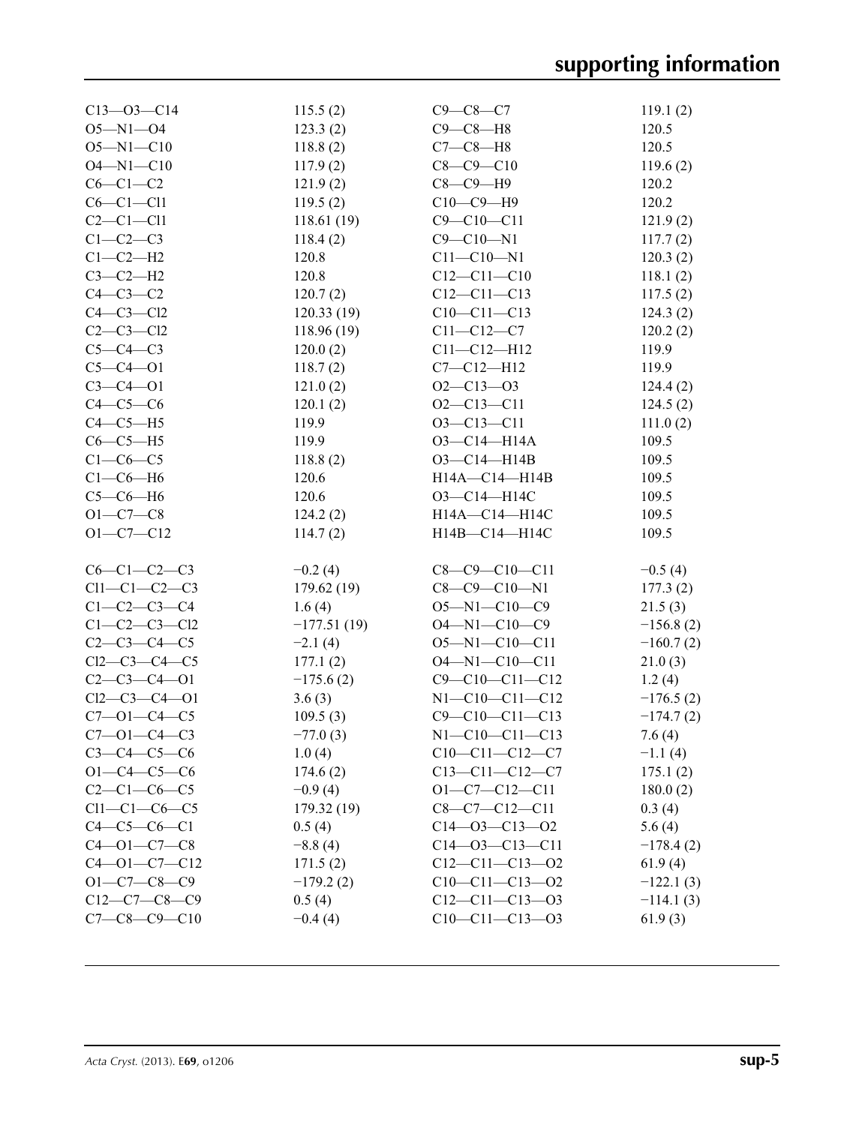| $C13 - 03 - C14$     | 115.5(2)      | $C9 - C8 - C7$         | 119.1(2)    |
|----------------------|---------------|------------------------|-------------|
| $O5 - N1 - O4$       | 123.3(2)      | $C9-C8-H8$             | 120.5       |
| $O5 - N1 - C10$      | 118.8(2)      | $C7-C8-H8$             | 120.5       |
| $O4 - N1 - C10$      | 117.9(2)      | $C8 - C9 - C10$        | 119.6(2)    |
|                      |               |                        |             |
| $C6-C1-C2$           | 121.9(2)      | $C8-C9-H9$             | 120.2       |
| $C6-C1-C11$          | 119.5(2)      | $C10-C9-H9$            | 120.2       |
| $C2-C1-C11$          | 118.61(19)    | $C9 - C10 - C11$       | 121.9(2)    |
| $C1-C2-C3$           | 118.4(2)      | $C9 - C10 - N1$        | 117.7(2)    |
| $C1-C2-H2$           | 120.8         | $C11 - C10 - N1$       | 120.3(2)    |
| $C3-C2-H2$           | 120.8         | $C12 - C11 - C10$      | 118.1(2)    |
| $C4-C3-C2$           | 120.7(2)      | $C12 - C11 - C13$      | 117.5(2)    |
| $C4-C3-C12$          | 120.33(19)    | $C10-C11-C13$          | 124.3(2)    |
| $C2 - C3 - C12$      | 118.96(19)    | $C11 - C12 - C7$       | 120.2(2)    |
| $C5-C4-C3$           | 120.0(2)      | $C11 - C12 - H12$      | 119.9       |
| $C5 - C4 - O1$       | 118.7(2)      | $C7 - C12 - H12$       | 119.9       |
| $C3 - C4 - O1$       | 121.0(2)      | $O2 - C13 - O3$        | 124.4(2)    |
| $C4-C5-C6$           | 120.1(2)      | $O2-C13-C11$           | 124.5(2)    |
| $C4-C5-H5$           | 119.9         | $O3 - C13 - C11$       | 111.0(2)    |
| $C6-C5-H5$           | 119.9         | O3-C14-H14A            | 109.5       |
| $C1-C6-C5$           | 118.8(2)      | $O3 - C14 - H14B$      | 109.5       |
| $C1-C6-H6$           | 120.6         | $H14A - C14 - H14B$    | 109.5       |
| $C5-C6-H6$           | 120.6         | O3-C14-H14C            | 109.5       |
| $O1 - C7 - C8$       | 124.2(2)      | H14A-C14-H14C          | 109.5       |
| $O1 - C7 - C12$      | 114.7(2)      | H14B-C14-H14C          | 109.5       |
|                      |               |                        |             |
| $C6-C1-C2-C3$        | $-0.2(4)$     | $C8-C9-C10-C11$        | $-0.5(4)$   |
| $Cl1-C1-C2-C3$       | 179.62(19)    | $C8-C9-C10-N1$         | 177.3(2)    |
| $C1 - C2 - C3 - C4$  | 1.6(4)        | O5-N1-C10-C9           | 21.5(3)     |
| $C1 - C2 - C3 - C12$ | $-177.51(19)$ | O4-N1-C10-C9           | $-156.8(2)$ |
| $C2-C3-C4-C5$        | $-2.1(4)$     | $O5 - N1 - C10 - C11$  | $-160.7(2)$ |
| $Cl2-C3-C4-C5$       | 177.1(2)      | $O4 - N1 - C10 - C11$  | 21.0(3)     |
| $C2-C3-C4-01$        | $-175.6(2)$   | $C9 - C10 - C11 - C12$ | 1.2(4)      |
| $Cl2-C3-C4-O1$       | 3.6(3)        | $N1 - C10 - C11 - C12$ | $-176.5(2)$ |
| $C7 - 01 - C4 - C5$  | 109.5(3)      | $C9 - C10 - C11 - C13$ | $-174.7(2)$ |
| $C7 - 01 - C4 - C3$  | $-77.0(3)$    | $N1 - C10 - C11 - C13$ | 7.6(4)      |
| $C3 - C4 - C5 - C6$  | 1.0(4)        | $C10-C11-C12-C7$       | $-1.1(4)$   |
| $O1 - C4 - C5 - C6$  | 174.6(2)      | $C13-C11-C12-C7$       | 175.1(2)    |
| $C2 - C1 - C6 - C5$  | $-0.9(4)$     | $O1 - C7 - C12 - C11$  | 180.0(2)    |
| $Cl1-C1-C6-C5$       | 179.32(19)    | $C8-C7-C12-C11$        | 0.3(4)      |
| $C4-C5-C6-C1$        | 0.5(4)        | $C14 - 03 - C13 - 02$  | 5.6(4)      |
| $C4 - 01 - C7 - C8$  | $-8.8(4)$     | $C14 - 03 - C13 - C11$ | $-178.4(2)$ |
| $C4 - 01 - C7 - C12$ | 171.5(2)      | $C12-C11-C13-02$       | 61.9(4)     |
| $O1 - C7 - C8 - C9$  | $-179.2(2)$   | $C10-C11-C13-02$       | $-122.1(3)$ |
| $C12-C7-C8-C9$       | 0.5(4)        | $C12-C11-C13-03$       | $-114.1(3)$ |
| $C7 - C8 - C9 - C10$ | $-0.4(4)$     | $C10-C11-C13-03$       | 61.9(3)     |
|                      |               |                        |             |